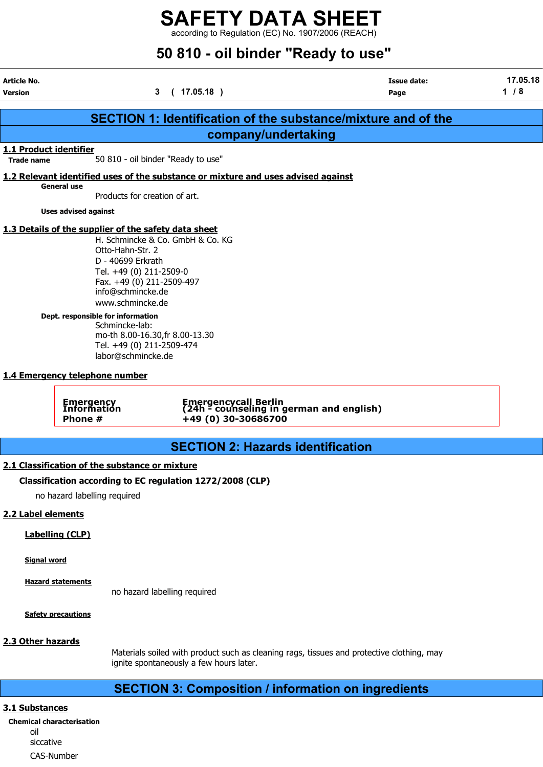according to Regulation (EC) No. 1907/2006 (REACH)

# 50 810 - oil binder "Ready to use"

| Article No.<br><b>Version</b>               |                                                                                                                                                                                                                                                                                    | (17.05.18)<br>3                                                                         | <b>Issue date:</b><br>Page                                           | 17.05.18<br>1/8 |
|---------------------------------------------|------------------------------------------------------------------------------------------------------------------------------------------------------------------------------------------------------------------------------------------------------------------------------------|-----------------------------------------------------------------------------------------|----------------------------------------------------------------------|-----------------|
|                                             |                                                                                                                                                                                                                                                                                    |                                                                                         | <b>SECTION 1: Identification of the substance/mixture and of the</b> |                 |
|                                             |                                                                                                                                                                                                                                                                                    | company/undertaking                                                                     |                                                                      |                 |
| 1.1 Product identifier<br><b>Trade name</b> |                                                                                                                                                                                                                                                                                    | 50 810 - oil binder "Ready to use"                                                      |                                                                      |                 |
|                                             |                                                                                                                                                                                                                                                                                    |                                                                                         |                                                                      |                 |
|                                             | <b>General use</b>                                                                                                                                                                                                                                                                 | 1.2 Relevant identified uses of the substance or mixture and uses advised against       |                                                                      |                 |
|                                             | Products for creation of art.                                                                                                                                                                                                                                                      |                                                                                         |                                                                      |                 |
|                                             | <b>Uses advised against</b>                                                                                                                                                                                                                                                        |                                                                                         |                                                                      |                 |
|                                             | Otto-Hahn-Str. 2<br>D - 40699 Erkrath<br>Tel. +49 (0) 211-2509-0<br>Fax. +49 (0) 211-2509-497<br>info@schmincke.de<br>www.schmincke.de<br>Dept. responsible for information<br>Schmincke-lab:<br>Tel. +49 (0) 211-2509-474<br>labor@schmincke.de<br>1.4 Emergency telephone number | H. Schmincke & Co. GmbH & Co. KG<br>mo-th 8.00-16.30, fr 8.00-13.30                     |                                                                      |                 |
|                                             | Emergency<br>Information<br>Phone #                                                                                                                                                                                                                                                | Emergencycall Berlin<br>(24h - counseling in german and english)<br>+49 (0) 30-30686700 |                                                                      |                 |
|                                             |                                                                                                                                                                                                                                                                                    | <b>SECTION 2: Hazards identification</b>                                                |                                                                      |                 |
|                                             | 2.1 Classification of the substance or mixture                                                                                                                                                                                                                                     |                                                                                         |                                                                      |                 |
|                                             |                                                                                                                                                                                                                                                                                    | Classification according to EC regulation 1272/2008 (CLP)                               |                                                                      |                 |
|                                             | no hazard labelling required                                                                                                                                                                                                                                                       |                                                                                         |                                                                      |                 |
|                                             |                                                                                                                                                                                                                                                                                    |                                                                                         |                                                                      |                 |
| 2.2 Label elements                          |                                                                                                                                                                                                                                                                                    |                                                                                         |                                                                      |                 |
|                                             | <b>Labelling (CLP)</b>                                                                                                                                                                                                                                                             |                                                                                         |                                                                      |                 |
| <b>Signal word</b>                          |                                                                                                                                                                                                                                                                                    |                                                                                         |                                                                      |                 |
|                                             | <b>Hazard statements</b>                                                                                                                                                                                                                                                           | no hazard labelling required                                                            |                                                                      |                 |

Safety precautions

#### 2.3 Other hazards

Materials soiled with product such as cleaning rags, tissues and protective clothing, may ignite spontaneously a few hours later.

### SECTION 3: Composition / information on ingredients

#### 3.1 Substances

Chemical characterisation oil siccative CAS-Number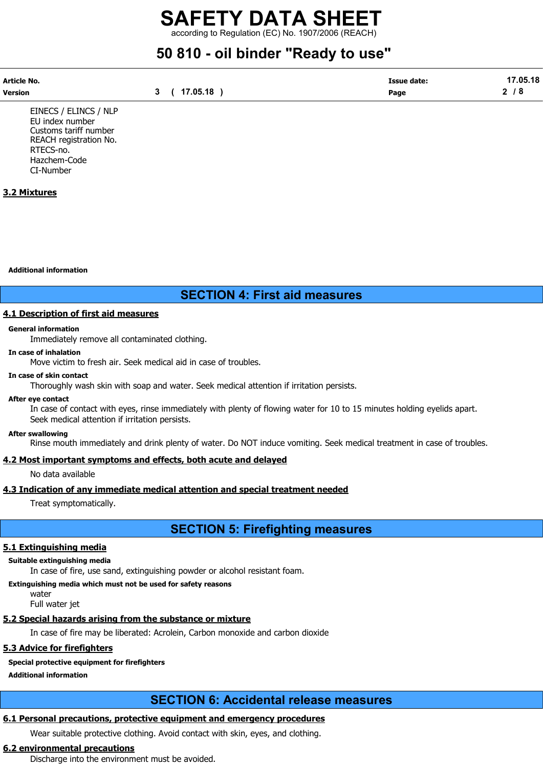according to Regulation (EC) No. 1907/2006 (REACH)

# 50 810 - oil binder "Ready to use"

| Article No. |            | <b>Issue date:</b> | 17.05.18 |
|-------------|------------|--------------------|----------|
| Version     | (17.05.18) | Page               | ◠<br>70  |

EINECS / ELINCS / NLP EU index number Customs tariff number REACH registration No. RTECS-no. Hazchem-Code CI-Number

#### 3.2 Mixtures

Additional information

### SECTION 4: First aid measures

#### 4.1 Description of first aid measures

#### General information

Immediately remove all contaminated clothing.

#### In case of inhalation

Move victim to fresh air. Seek medical aid in case of troubles.

#### In case of skin contact

Thoroughly wash skin with soap and water. Seek medical attention if irritation persists.

#### After eye contact

In case of contact with eyes, rinse immediately with plenty of flowing water for 10 to 15 minutes holding eyelids apart. Seek medical attention if irritation persists.

#### After swallowing

Rinse mouth immediately and drink plenty of water. Do NOT induce vomiting. Seek medical treatment in case of troubles.

#### 4.2 Most important symptoms and effects, both acute and delayed

No data available

#### 4.3 Indication of any immediate medical attention and special treatment needed

Treat symptomatically.

### SECTION 5: Firefighting measures

#### 5.1 Extinguishing media

#### Suitable extinguishing media

In case of fire, use sand, extinguishing powder or alcohol resistant foam.

#### Extinguishing media which must not be used for safety reasons water

Full water jet

#### 5.2 Special hazards arising from the substance or mixture

In case of fire may be liberated: Acrolein, Carbon monoxide and carbon dioxide

#### 5.3 Advice for firefighters

#### Special protective equipment for firefighters

Additional information

## SECTION 6: Accidental release measures

### 6.1 Personal precautions, protective equipment and emergency procedures

Wear suitable protective clothing. Avoid contact with skin, eyes, and clothing.

#### 6.2 environmental precautions

Discharge into the environment must be avoided.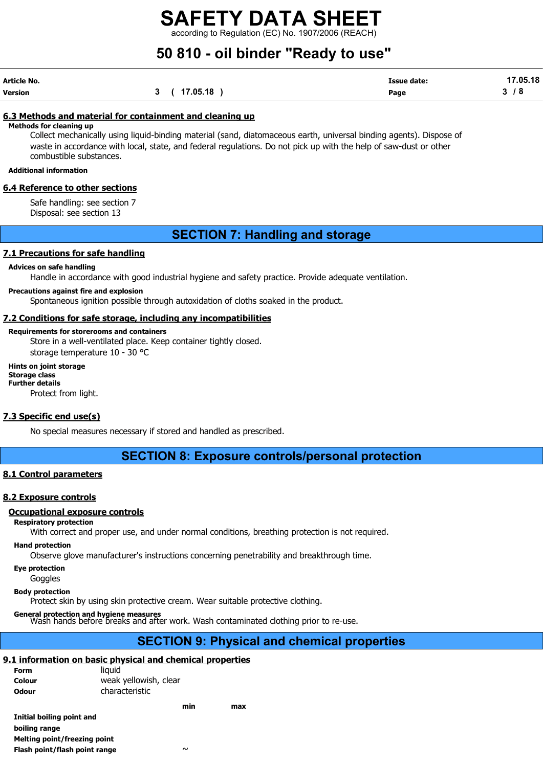according to Regulation (EC) No. 1907/2006 (REACH)

# 50 810 - oil binder "Ready to use"

| Article No. |              | <b>Issue date:</b> | 17.05.18 |
|-------------|--------------|--------------------|----------|
| Version     | 3 ( 17.05.18 | Page               | 3/8      |

#### 6.3 Methods and material for containment and cleaning up

Methods for cleaning up

Collect mechanically using liquid-binding material (sand, diatomaceous earth, universal binding agents). Dispose of waste in accordance with local, state, and federal regulations. Do not pick up with the help of saw-dust or other combustible substances.

#### Additional information

#### 6.4 Reference to other sections

Safe handling: see section 7 Disposal: see section 13

### SECTION 7: Handling and storage

#### 7.1 Precautions for safe handling

#### Advices on safe handling

Handle in accordance with good industrial hygiene and safety practice. Provide adequate ventilation.

#### Precautions against fire and explosion

Spontaneous ignition possible through autoxidation of cloths soaked in the product.

#### 7.2 Conditions for safe storage, including any incompatibilities

#### Requirements for storerooms and containers

Store in a well-ventilated place. Keep container tightly closed. storage temperature 10 - 30 °C

#### Hints on joint storage Storage class Further details

Protect from light.

#### 7.3 Specific end use(s)

No special measures necessary if stored and handled as prescribed.

#### SECTION 8: Exposure controls/personal protection

#### 8.1 Control parameters

#### 8.2 Exposure controls

#### Occupational exposure controls

#### Respiratory protection

With correct and proper use, and under normal conditions, breathing protection is not required.

#### Hand protection

Observe glove manufacturer's instructions concerning penetrability and breakthrough time.

Eye protection

**Goggles** 

#### Body protection

Protect skin by using skin protective cream. Wear suitable protective clothing.

General protection and hygiene measures<br>Wash hands before breaks and after work. Wash contaminated clothing prior to re-use.

### SECTION 9: Physical and chemical properties

#### 9.1 information on basic physical and chemical properties

| Form         | liauid                |
|--------------|-----------------------|
| Colour       | weak yellowish, clear |
| <b>Odour</b> | characteristic        |

|                               | min    | max |
|-------------------------------|--------|-----|
| Initial boiling point and     |        |     |
| boiling range                 |        |     |
| Melting point/freezing point  |        |     |
| Flash point/flash point range | $\sim$ |     |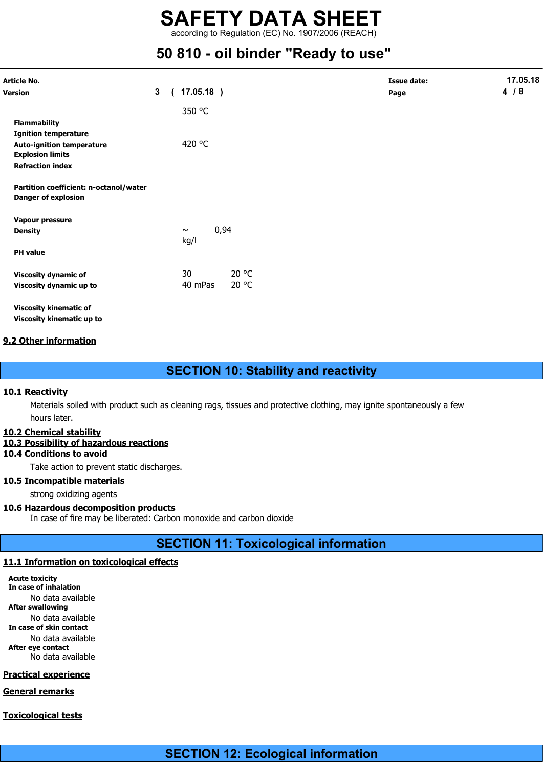according to Regulation (EC) No. 1907/2006 (REACH)

# 50 810 - oil binder "Ready to use"

| Article No.                                                          |                |          |                        |       | <b>Issue date:</b> | 17.05.18 |
|----------------------------------------------------------------------|----------------|----------|------------------------|-------|--------------------|----------|
| Version                                                              | 3 <sup>1</sup> | $\left($ | $17.05.18$ )           |       | Page               | 4/8      |
|                                                                      |                |          | 350 °C                 |       |                    |          |
| <b>Flammability</b>                                                  |                |          |                        |       |                    |          |
| <b>Ignition temperature</b>                                          |                |          |                        |       |                    |          |
| <b>Auto-ignition temperature</b><br><b>Explosion limits</b>          |                |          | 420 °C                 |       |                    |          |
| <b>Refraction index</b>                                              |                |          |                        |       |                    |          |
| Partition coefficient: n-octanol/water<br><b>Danger of explosion</b> |                |          |                        |       |                    |          |
| Vapour pressure                                                      |                |          |                        |       |                    |          |
| <b>Density</b>                                                       |                |          | 0,94<br>$\sim$<br>kg/l |       |                    |          |
| <b>PH</b> value                                                      |                |          |                        |       |                    |          |
| <b>Viscosity dynamic of</b>                                          |                |          | 30                     | 20 °C |                    |          |
| Viscosity dynamic up to                                              |                |          | 40 mPas                | 20 °C |                    |          |
| <b>Viscosity kinematic of</b>                                        |                |          |                        |       |                    |          |
| Viscosity kinematic up to                                            |                |          |                        |       |                    |          |

#### 9.2 Other information

SECTION 10: Stability and reactivity

#### 10.1 Reactivity

Materials soiled with product such as cleaning rags, tissues and protective clothing, may ignite spontaneously a few hours later.

#### 10.2 Chemical stability

#### 10.3 Possibility of hazardous reactions

#### 10.4 Conditions to avoid

Take action to prevent static discharges.

#### 10.5 Incompatible materials

strong oxidizing agents

#### 10.6 Hazardous decomposition products

In case of fire may be liberated: Carbon monoxide and carbon dioxide

### SECTION 11: Toxicological information

#### 11.1 Information on toxicological effects

Acute toxicity In case of inhalation No data available After swallowing No data available In case of skin contact No data available After eye contact No data available

#### Practical experience

General remarks

#### Toxicological tests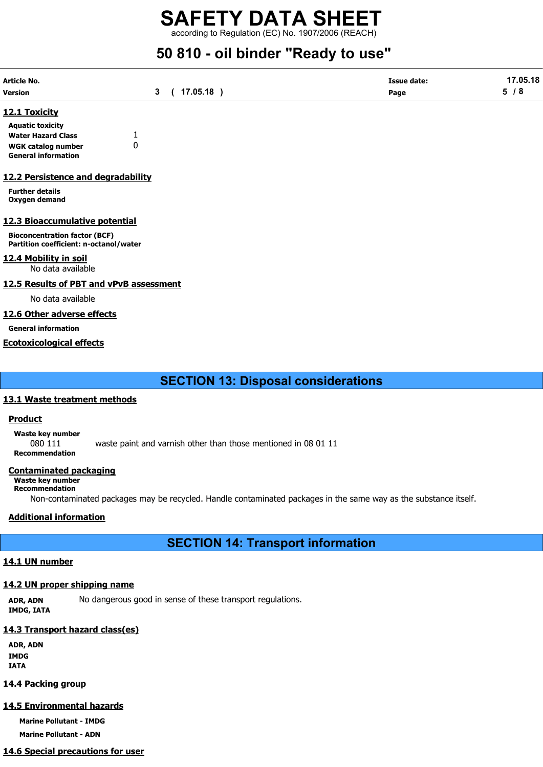according to Regulation (EC) No. 1907/2006 (REACH)

# 50 810 - oil binder "Ready to use"

| Article No. |              | <b>Issue date:</b> | 17.05.18 |
|-------------|--------------|--------------------|----------|
| Version     | 3 ( 17.05.18 | Page               | 5/8      |

#### 12.1 Toxicity

| <b>Aquatic toxicity</b>    |   |
|----------------------------|---|
| <b>Water Hazard Class</b>  |   |
| WGK catalog number         | 0 |
| <b>General information</b> |   |

#### 12.2 Persistence and degradability

Further details Oxygen demand

#### 12.3 Bioaccumulative potential

Bioconcentration factor (BCF) Partition coefficient: n-octanol/water

#### 12.4 Mobility in soil

No data available

#### 12.5 Results of PBT and vPvB assessment

No data available

#### 12.6 Other adverse effects

General information

#### Ecotoxicological effects

SECTION 13: Disposal considerations

#### 13.1 Waste treatment methods

#### Product

Waste key number 080 111 waste paint and varnish other than those mentioned in 08 01 11 Recommendation

#### Contaminated packaging

Waste key number

#### Recommendation

Non-contaminated packages may be recycled. Handle contaminated packages in the same way as the substance itself.

#### Additional information

SECTION 14: Transport information

#### 14.1 UN number

#### 14.2 UN proper shipping name

ADR, ADN No dangerous good in sense of these transport regulations. IMDG, IATA

#### 14.3 Transport hazard class(es)

ADR, ADN IMDG IATA

#### 14.4 Packing group

#### 14.5 Environmental hazards

Marine Pollutant - IMDG

Marine Pollutant - ADN

### 14.6 Special precautions for user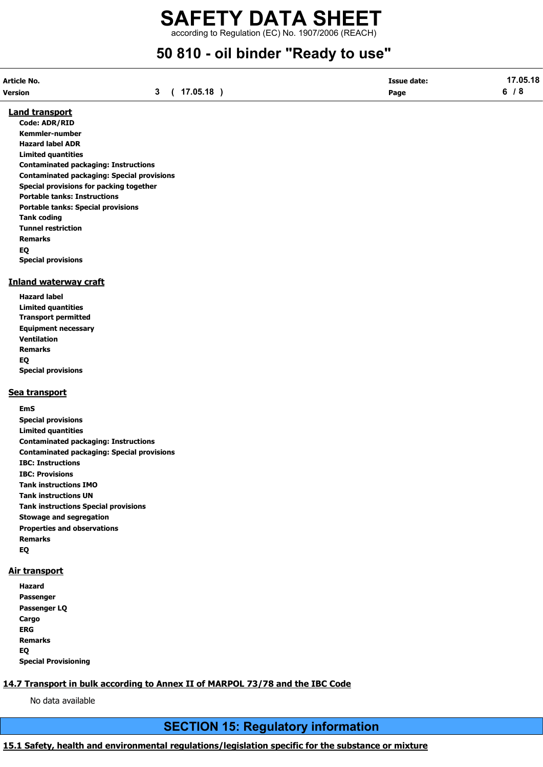according to Regulation (EC) No. 1907/2006 (REACH)

# 50 810 - oil binder "Ready to use"

| Article No. |          | <b>Issue date:</b> | 17.05.18 |
|-------------|----------|--------------------|----------|
| Version     | 17.05.18 | Page               |          |

#### Land transport

Code: ADR/RID Kemmler-number Hazard label ADR Limited quantities Contaminated packaging: Instructions Contaminated packaging: Special provisions Special provisions for packing together Portable tanks: Instructions Portable tanks: Special provisions Tank coding Tunnel restriction Remarks EQ Special provisions

#### Inland waterway craft

Hazard label Limited quantities Transport permitted Equipment necessary Ventilation Remarks EQ Special provisions

#### Sea transport

EmS Special provisions Limited quantities Contaminated packaging: Instructions Contaminated packaging: Special provisions IBC: Instructions IBC: Provisions Tank instructions IMO Tank instructions UN Tank instructions Special provisions Stowage and segregation Properties and observations Remarks EQ

#### Air transport

Hazard Passenger Passenger LQ **Cargo** ERG Remarks EQ Special Provisioning

### 14.7 Transport in bulk according to Annex II of MARPOL 73/78 and the IBC Code

No data available

## SECTION 15: Regulatory information

### 15.1 Safety, health and environmental regulations/legislation specific for the substance or mixture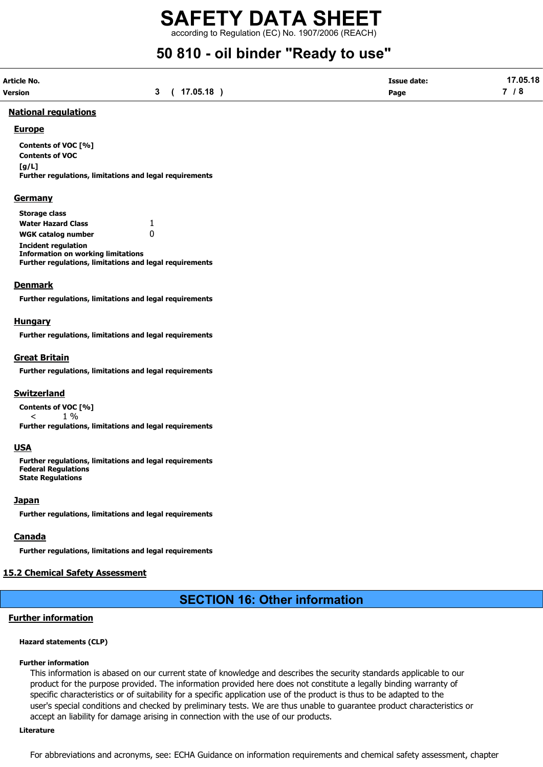according to Regulation (EC) No. 1907/2006 (REACH)

# 50 810 - oil binder "Ready to use"

| Article No. |              | <b>Issue date:</b> | 17.05.18 |
|-------------|--------------|--------------------|----------|
| Version     | 3 ( 17.05.18 | Page               | 7/8      |

#### National regulations

#### **Europe**

Contents of VOC [%] Contents of VOC  $[a/L]$ Further regulations, limitations and legal requirements

#### **Germany**

| <b>Storage class</b>                                           |    |
|----------------------------------------------------------------|----|
| <b>Water Hazard Class</b>                                      | 1. |
| <b>WGK catalog number</b>                                      | 0  |
| <b>Incident regulation</b>                                     |    |
| <b>Information on working limitations</b>                      |    |
| <b>Further regulations, limitations and legal requirements</b> |    |

#### Denmark

Further regulations, limitations and legal requirements

#### **Hungary**

Further regulations, limitations and legal requirements

#### Great Britain

Further regulations, limitations and legal requirements

#### **Switzerland**

Contents of VOC [%]  $<$  1 % Further regulations, limitations and legal requirements

#### USA

Further regulations, limitations and legal requirements Federal Regulations State Regulations

#### **Japan**

Further regulations, limitations and legal requirements

#### Canada

Further regulations, limitations and legal requirements

#### 15.2 Chemical Safety Assessment

## SECTION 16: Other information

#### Further information

#### Hazard statements (CLP)

#### Further information

This information is abased on our current state of knowledge and describes the security standards applicable to our product for the purpose provided. The information provided here does not constitute a legally binding warranty of specific characteristics or of suitability for a specific application use of the product is thus to be adapted to the user's special conditions and checked by preliminary tests. We are thus unable to guarantee product characteristics or accept an liability for damage arising in connection with the use of our products.

#### Literature

For abbreviations and acronyms, see: ECHA Guidance on information requirements and chemical safety assessment, chapter